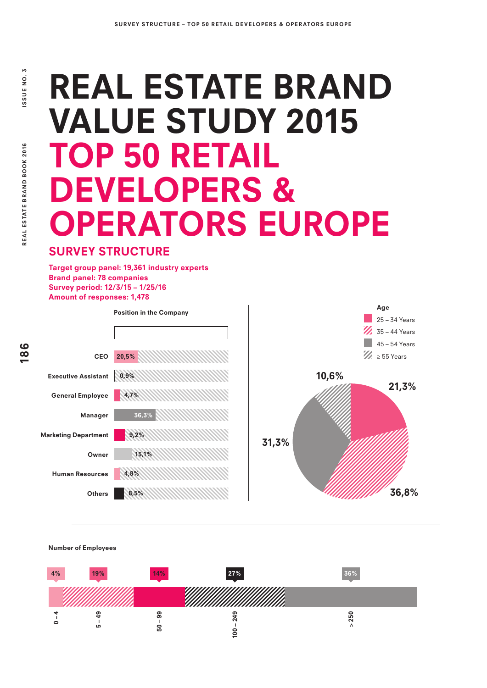# REAL ESTATE BRAND VALUE STUDY 2015 TOP 50 RETAIL DEVELOPERS & OPERATORS EUROPE

### SURVEY STRUCTURE

Target group panel: 19,361 industry experts Brand panel: 78 companies Survey period: 12/3/15 – 1/25/16 Amount of responses: 1,478



Number of Employees

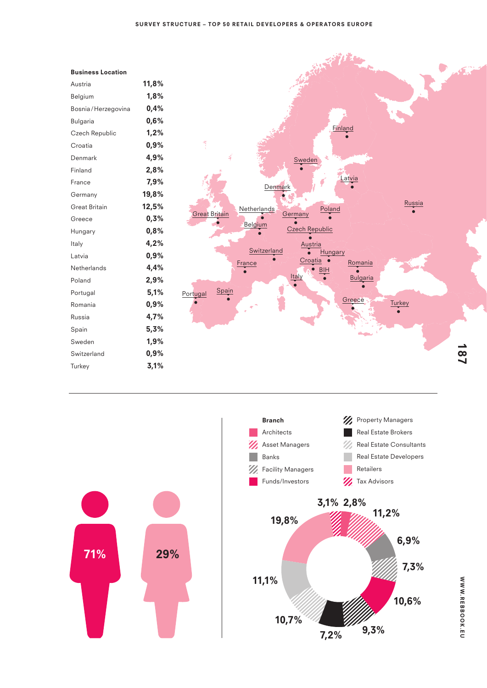| 1,8%<br>Belgium<br>0.4%<br>Bosnia/Herzegovina<br>0,6%<br>Bulgaria<br>1.2%<br>Czech Republic<br>0,9%<br>Croatia<br>4.9%<br>Denmark<br>2,8%<br>Finland<br>7,9%<br>France<br>19,8%<br>Germany<br>12,5%<br><b>Great Britain</b> |
|-----------------------------------------------------------------------------------------------------------------------------------------------------------------------------------------------------------------------------|
|                                                                                                                                                                                                                             |
|                                                                                                                                                                                                                             |
|                                                                                                                                                                                                                             |
|                                                                                                                                                                                                                             |
|                                                                                                                                                                                                                             |
|                                                                                                                                                                                                                             |
|                                                                                                                                                                                                                             |
|                                                                                                                                                                                                                             |
|                                                                                                                                                                                                                             |
|                                                                                                                                                                                                                             |
| 0,3%<br>Greece                                                                                                                                                                                                              |
| 0,8%<br>Hungary                                                                                                                                                                                                             |
| 4,2%<br>Italy                                                                                                                                                                                                               |
| 0,9%<br>Latvia                                                                                                                                                                                                              |
| 4,4%<br>Netherlands                                                                                                                                                                                                         |
| 2,9%<br>Poland                                                                                                                                                                                                              |
| 5,1%<br>Portugal                                                                                                                                                                                                            |
| 0,9%<br>Romania                                                                                                                                                                                                             |
| 4,7%<br>Russia                                                                                                                                                                                                              |
| 5,3%<br>Spain                                                                                                                                                                                                               |
| 1,9%<br>Sweden                                                                                                                                                                                                              |
| 0,9%<br>Switzerland                                                                                                                                                                                                         |
| 3,1%<br>Turkey                                                                                                                                                                                                              |
|                                                                                                                                                                                                                             |

Business Location





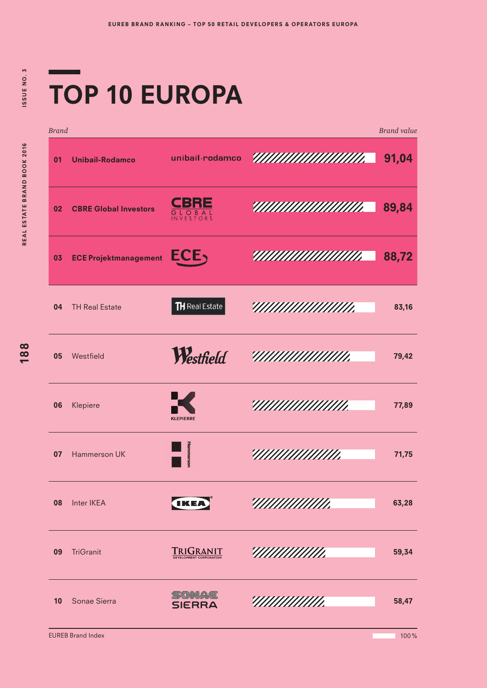# TOP 10 EUROPA

| <b>Brand</b> |                              |                                             |                           | <b>Brand</b> value |
|--------------|------------------------------|---------------------------------------------|---------------------------|--------------------|
| 01           | <b>Unibail-Rodamco</b>       | unibail rodamco                             | <u> АНИНИИ ШИН.</u>       | 91,04              |
| 02           | <b>CBRE Global Investors</b> | BRE<br><b>GLOBAL</b><br>INVESTORS           | IIIIIIIIIIIIIIIIIIIIII    | 89,84              |
| 03           | <b>ECE Projektmanagement</b> | ECE,                                        | <u> АНИИШИНИИ </u>        | 88,72              |
| 04           | <b>TH Real Estate</b>        | $TH$ Real Estate                            |                           | 83,16              |
| 05           | Westfield                    | Westfield                                   | ,,,,,,,,,,,,,,,,,,,,,,,,, | 79,42              |
| 06           | Klepiere                     | <b>KLEPIERRE</b>                            |                           | 77,89              |
| 07           | Hammerson UK                 | <b>Hammerson</b>                            |                           | 71,75              |
| 08           | Inter IKEA                   | <b>TKEA</b>                                 |                           | 63,28              |
| 09           | <b>TriGranit</b>             | TRIGRANIT<br><b>DEVELOPMENT CORPORATION</b> |                           | 59,34              |
| 10           | Sonae Sierra                 | SIERRA                                      | ///////////               | 58,47              |

EUREB Brand Index

100%